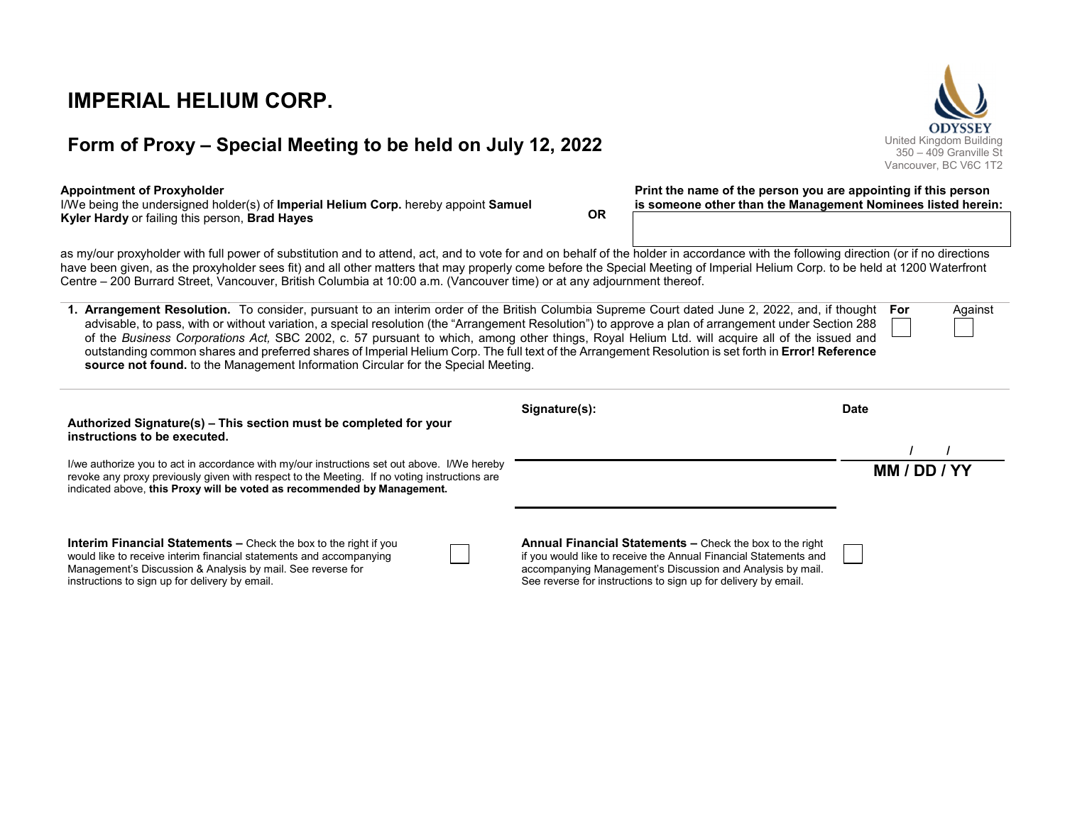**IMPERIAL HELIUM CORP.** 

# **Form of Proxy – Special Meeting to be held on July 12, 2022** United Kingdom Building